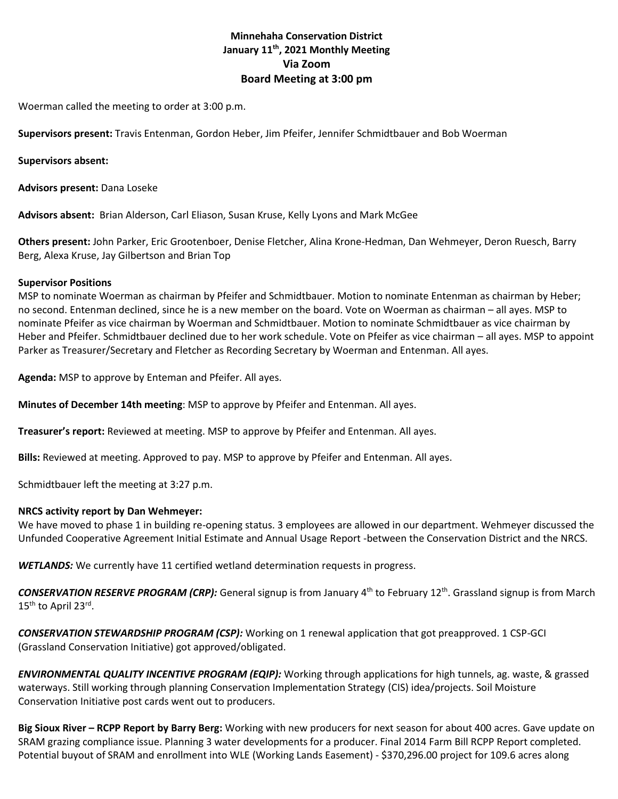# **Minnehaha Conservation District January 11th, 2021 Monthly Meeting Via Zoom Board Meeting at 3:00 pm**

Woerman called the meeting to order at 3:00 p.m.

**Supervisors present:** Travis Entenman, Gordon Heber, Jim Pfeifer, Jennifer Schmidtbauer and Bob Woerman

## **Supervisors absent:**

**Advisors present:** Dana Loseke

**Advisors absent:** Brian Alderson, Carl Eliason, Susan Kruse, Kelly Lyons and Mark McGee

**Others present:** John Parker, Eric Grootenboer, Denise Fletcher, Alina Krone-Hedman, Dan Wehmeyer, Deron Ruesch, Barry Berg, Alexa Kruse, Jay Gilbertson and Brian Top

## **Supervisor Positions**

MSP to nominate Woerman as chairman by Pfeifer and Schmidtbauer. Motion to nominate Entenman as chairman by Heber; no second. Entenman declined, since he is a new member on the board. Vote on Woerman as chairman – all ayes. MSP to nominate Pfeifer as vice chairman by Woerman and Schmidtbauer. Motion to nominate Schmidtbauer as vice chairman by Heber and Pfeifer. Schmidtbauer declined due to her work schedule. Vote on Pfeifer as vice chairman – all ayes. MSP to appoint Parker as Treasurer/Secretary and Fletcher as Recording Secretary by Woerman and Entenman. All ayes.

**Agenda:** MSP to approve by Enteman and Pfeifer. All ayes.

**Minutes of December 14th meeting**: MSP to approve by Pfeifer and Entenman. All ayes.

**Treasurer's report:** Reviewed at meeting. MSP to approve by Pfeifer and Entenman. All ayes.

**Bills:** Reviewed at meeting. Approved to pay. MSP to approve by Pfeifer and Entenman. All ayes.

Schmidtbauer left the meeting at 3:27 p.m.

## **NRCS activity report by Dan Wehmeyer:**

We have moved to phase 1 in building re-opening status. 3 employees are allowed in our department. Wehmeyer discussed the Unfunded Cooperative Agreement Initial Estimate and Annual Usage Report -between the Conservation District and the NRCS.

*WETLANDS:* We currently have 11 certified wetland determination requests in progress.

*CONSERVATION RESERVE PROGRAM (CRP):* General signup is from January 4th to February 12th. Grassland signup is from March 15<sup>th</sup> to April 23<sup>rd</sup>.

*CONSERVATION STEWARDSHIP PROGRAM (CSP):* Working on 1 renewal application that got preapproved. 1 CSP-GCI (Grassland Conservation Initiative) got approved/obligated.

*ENVIRONMENTAL QUALITY INCENTIVE PROGRAM (EQIP):* Working through applications for high tunnels, ag. waste, & grassed waterways. Still working through planning Conservation Implementation Strategy (CIS) idea/projects. Soil Moisture Conservation Initiative post cards went out to producers.

**Big Sioux River – RCPP Report by Barry Berg:** Working with new producers for next season for about 400 acres. Gave update on SRAM grazing compliance issue. Planning 3 water developments for a producer. Final 2014 Farm Bill RCPP Report completed. Potential buyout of SRAM and enrollment into WLE (Working Lands Easement) - \$370,296.00 project for 109.6 acres along